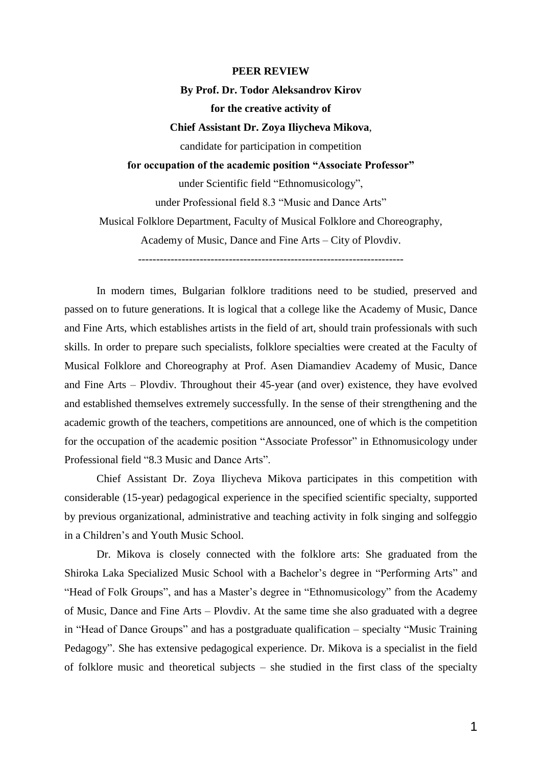### **PEER REVIEW**

#### **By Prof. Dr. Todor Aleksandrov Kirov**

### **for the creative activity of**

# **Chief Assistant Dr. Zoya Iliycheva Mikova**,

candidate for participation in competition

# **for occupation of the academic position "Associate Professor"**

under Scientific field "Ethnomusicology", under Professional field 8.3 "Music and Dance Arts" Musical Folklore Department, Faculty of Musical Folklore and Choreography, Academy of Music, Dance and Fine Arts – City of Plovdiv. -------------------------------------------------------------------------

In modern times, Bulgarian folklore traditions need to be studied, preserved and passed on to future generations. It is logical that a college like the Academy of Music, Dance and Fine Arts, which establishes artists in the field of art, should train professionals with such skills. In order to prepare such specialists, folklore specialties were created at the Faculty of Musical Folklore and Choreography at Prof. Asen Diamandiev Academy of Music, Dance and Fine Arts – Plovdiv. Throughout their 45-year (and over) existence, they have evolved and established themselves extremely successfully. In the sense of their strengthening and the academic growth of the teachers, competitions are announced, one of which is the competition for the occupation of the academic position "Associate Professor" in Ethnomusicology under Professional field "8.3 Music and Dance Arts".

Chief Assistant Dr. Zoya Iliycheva Mikova participates in this competition with considerable (15-year) pedagogical experience in the specified scientific specialty, supported by previous organizational, administrative and teaching activity in folk singing and solfeggio in a Children's and Youth Music School.

Dr. Mikova is closely connected with the folklore arts: She graduated from the Shiroka Laka Specialized Music School with a Bachelor's degree in "Performing Arts" and "Head of Folk Groups", and has a Master's degree in "Ethnomusicology" from the Academy of Music, Dance and Fine Arts – Plovdiv. At the same time she also graduated with a degree in "Head of Dance Groups" and has a postgraduate qualification – specialty "Music Training Pedagogy". She has extensive pedagogical experience. Dr. Mikova is a specialist in the field of folklore music and theoretical subjects – she studied in the first class of the specialty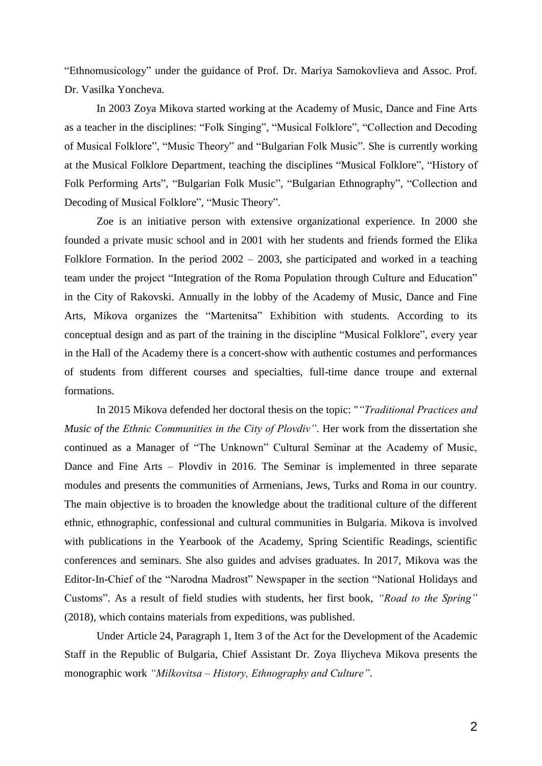"Ethnomusicology" under the guidance of Prof. Dr. Mariya Samokovlieva and Assoc. Prof. Dr. Vasilka Yoncheva.

In 2003 Zoya Mikova started working at the Academy of Music, Dance and Fine Arts as a teacher in the disciplines: "Folk Singing", "Musical Folklore", "Collection and Decoding of Musical Folklore", "Music Theory" and "Bulgarian Folk Music". She is currently working at the Musical Folklore Department, teaching the disciplines "Musical Folklore", "History of Folk Performing Arts", "Bulgarian Folk Music", "Bulgarian Ethnography", "Collection and Decoding of Musical Folklore", "Music Theory".

Zoe is an initiative person with extensive organizational experience. In 2000 she founded a private music school and in 2001 with her students and friends formed the Elika Folklore Formation. In the period 2002 – 2003, she participated and worked in a teaching team under the project "Integration of the Roma Population through Culture and Education" in the City of Rakovski. Annually in the lobby of the Academy of Music, Dance and Fine Arts, Mikova organizes the "Martenitsa" Exhibition with students. According to its conceptual design and as part of the training in the discipline "Musical Folklore", every year in the Hall of the Academy there is a concert-show with authentic costumes and performances of students from different courses and specialties, full-time dance troupe and external formations.

In 2015 Mikova defended her doctoral thesis on the topic: "*"Traditional Practices and Music of the Ethnic Communities in the City of Plovdiv"*. Her work from the dissertation she continued as a Manager of "The Unknown" Cultural Seminar at the Academy of Music, Dance and Fine Arts – Plovdiv in 2016. The Seminar is implemented in three separate modules and presents the communities of Armenians, Jews, Turks and Roma in our country. The main objective is to broaden the knowledge about the traditional culture of the different ethnic, ethnographic, confessional and cultural communities in Bulgaria. Mikova is involved with publications in the Yearbook of the Academy, Spring Scientific Readings, scientific conferences and seminars. She also guides and advises graduates. In 2017, Mikova was the Editor-In-Chief of the "Narodna Madrost" Newspaper in the section "National Holidays and Customs". As a result of field studies with students, her first book, *"Road to the Spring"* (2018), which contains materials from expeditions, was published.

Under Article 24, Paragraph 1, Item 3 of the Act for the Development of the Academic Staff in the Republic of Bulgaria, Chief Assistant Dr. Zoya Iliycheva Mikova presents the monographic work *"Milkovitsa – History, Ethnography and Culture"*.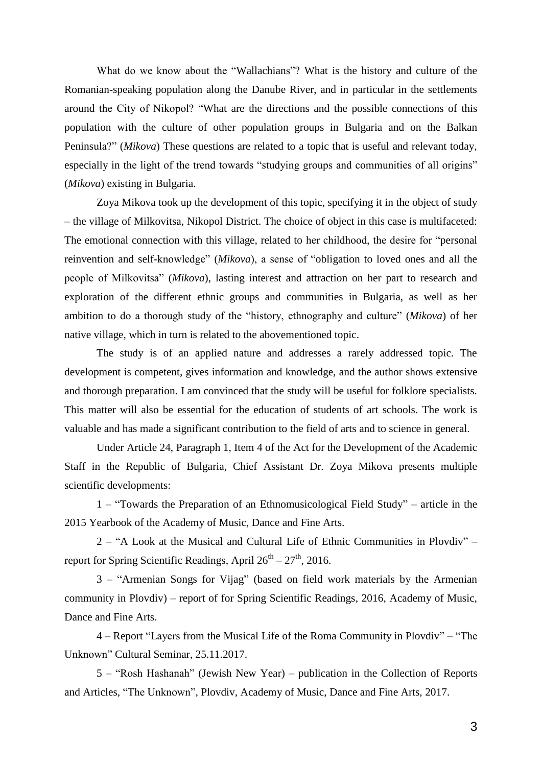What do we know about the "Wallachians"? What is the history and culture of the Romanian-speaking population along the Danube River, and in particular in the settlements around the City of Nikopol? "What are the directions and the possible connections of this population with the culture of other population groups in Bulgaria and on the Balkan Peninsula?" (*Mikova*) These questions are related to a topic that is useful and relevant today, especially in the light of the trend towards "studying groups and communities of all origins" (*Mikova*) existing in Bulgaria.

Zoya Mikova took up the development of this topic, specifying it in the object of study – the village of Milkovitsa, Nikopol District. The choice of object in this case is multifaceted: The emotional connection with this village, related to her childhood, the desire for "personal reinvention and self-knowledge" (*Mikova*), a sense of "obligation to loved ones and all the people of Milkovitsa" (*Mikova*), lasting interest and attraction on her part to research and exploration of the different ethnic groups and communities in Bulgaria, as well as her ambition to do a thorough study of the "history, ethnography and culture" (*Mikova*) of her native village, which in turn is related to the abovementioned topic.

The study is of an applied nature and addresses a rarely addressed topic. The development is competent, gives information and knowledge, and the author shows extensive and thorough preparation. I am convinced that the study will be useful for folklore specialists. This matter will also be essential for the education of students of art schools. The work is valuable and has made a significant contribution to the field of arts and to science in general.

Under Article 24, Paragraph 1, Item 4 of the Act for the Development of the Academic Staff in the Republic of Bulgaria, Chief Assistant Dr. Zoya Mikova presents multiple scientific developments:

1 – "Towards the Preparation of an Ethnomusicological Field Study" – article in the 2015 Yearbook of the Academy of Music, Dance and Fine Arts.

2 – "A Look at the Musical and Cultural Life of Ethnic Communities in Plovdiv" – report for Spring Scientific Readings, April  $26^{th} - 27^{th}$ , 2016.

3 – "Armenian Songs for Vijag" (based on field work materials by the Armenian community in Plovdiv) – report of for Spring Scientific Readings, 2016, Academy of Music, Dance and Fine Arts.

4 – Report "Layers from the Musical Life of the Roma Community in Plovdiv" – "The Unknown" Cultural Seminar, 25.11.2017.

5 – "Rosh Hashanah" (Jewish New Year) – publication in the Collection of Reports and Articles, "The Unknown", Plovdiv, Academy of Music, Dance and Fine Arts, 2017.